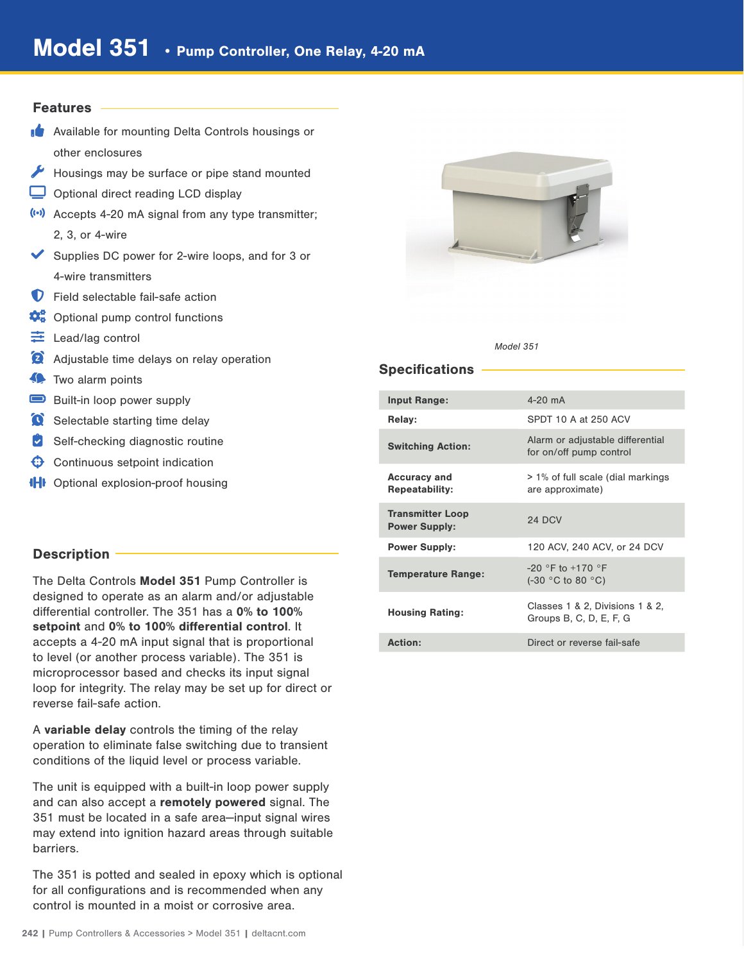#### Features

- **Available for mounting Delta Controls housings or** other enclosures
- Housings may be surface or pipe stand mounted
- Optional direct reading LCD display
- (a) Accepts 4-20 mA signal from any type transmitter; 2, 3, or 4-wire
- Supplies DC power for 2-wire loops, and for 3 or 4-wire transmitters
- **D** Field selectable fail-safe action
- $\mathbf{\dot{C}}_0^{\circ}$  Optional pump control functions
- Lead/lag control
- Adjustable time delays on relay operation
- **Two alarm points**
- Built-in loop power supply
- Selectable starting time delay
- $\bullet$  Self-checking diagnostic routine
- $\bigoplus$  Continuous setpoint indication
- **IHI** Optional explosion-proof housing

## Description -

The Delta Controls Model 351 Pump Controller is designed to operate as an alarm and/or adjustable differential controller. The 351 has a 0% to 100% setpoint and 0% to 100% differential control. It accepts a 4-20 mA input signal that is proportional to level (or another process variable). The 351 is microprocessor based and checks its input signal loop for integrity. The relay may be set up for direct or reverse fail-safe action.

A variable delay controls the timing of the relay operation to eliminate false switching due to transient conditions of the liquid level or process variable.

The unit is equipped with a built-in loop power supply and can also accept a remotely powered signal. The 351 must be located in a safe area—input signal wires may extend into ignition hazard areas through suitable barriers.

The 351 is potted and sealed in epoxy which is optional for all configurations and is recommended when any control is mounted in a moist or corrosive area.



Model 351

### Specifications

| <b>Input Range:</b>                             | $4-20$ mA                                                   |
|-------------------------------------------------|-------------------------------------------------------------|
| Relay:                                          | SPDT 10 A at 250 ACV                                        |
| <b>Switching Action:</b>                        | Alarm or adjustable differential<br>for on/off pump control |
| <b>Accuracy and</b><br><b>Repeatability:</b>    | > 1% of full scale (dial markings<br>are approximate)       |
| <b>Transmitter Loop</b><br><b>Power Supply:</b> | 24 DCV                                                      |
| <b>Power Supply:</b>                            | 120 ACV, 240 ACV, or 24 DCV                                 |
| <b>Temperature Range:</b>                       | $-20$ °F to $+170$ °F<br>$(-30 °C)$ to 80 $°C$ )            |
| <b>Housing Rating:</b>                          | Classes 1 & 2, Divisions 1 & 2,<br>Groups B, C, D, E, F, G  |
| Action:                                         | Direct or reverse fail-safe                                 |